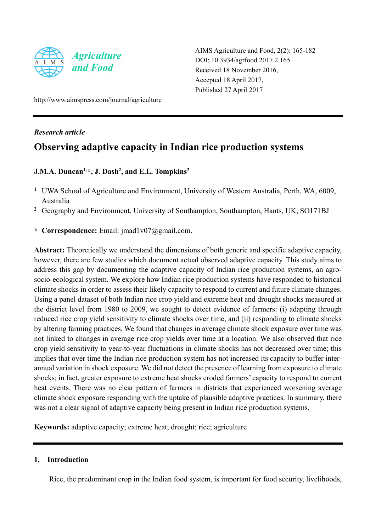

AIMS Agriculture and Food, 2(2): 165-182 DOI: 10.3934/agrfood.2017.2.165 Received 18 November 2016, Accepted 18 April 2017, Published 27 April 2017

http://www.aimspress.com/journal/agriculture

# *Research article*

# **Observing adaptive capacity in Indian rice production systems**

# **J.M.A. Duncan**<sup>1,\*</sup>, **J.** Dash<sup>2</sup>, and E.L. Tompkins<sup>2</sup>

- **<sup>1</sup>**UWA School of Agriculture and Environment, University of Western Australia, Perth, WA, 6009, Australia
- <sup>2</sup> Geography and Environment, University of Southampton, Southampton, Hants, UK, SO171BJ
- **\* Correspondence:** Email: jmad1v07@gmail.com.

**Abstract:** Theoretically we understand the dimensions of both generic and specific adaptive capacity, however, there are few studies which document actual observed adaptive capacity. This study aims to address this gap by documenting the adaptive capacity of Indian rice production systems, an agrosocio-ecological system. We explore how Indian rice production systems have responded to historical climate shocks in order to assess their likely capacity to respond to current and future climate changes. Using a panel dataset of both Indian rice crop yield and extreme heat and drought shocks measured at the district level from 1980 to 2009, we sought to detect evidence of farmers: (i) adapting through reduced rice crop yield sensitivity to climate shocks over time, and (ii) responding to climate shocks by altering farming practices. We found that changes in average climate shock exposure over time was not linked to changes in average rice crop yields over time at a location. We also observed that rice crop yield sensitivity to year-to-year fluctuations in climate shocks has not decreased over time; this implies that over time the Indian rice production system has not increased its capacity to buffer interannual variation in shock exposure. We did not detect the presence of learning from exposure to climate shocks; in fact, greater exposure to extreme heat shocks eroded farmers' capacity to respond to current heat events. There was no clear pattern of farmers in districts that experienced worsening average climate shock exposure responding with the uptake of plausible adaptive practices. In summary, there was not a clear signal of adaptive capacity being present in Indian rice production systems.

**Keywords:** adaptive capacity; extreme heat; drought; rice; agriculture

# **1. Introduction**

Rice, the predominant crop in the Indian food system, is important for food security, livelihoods,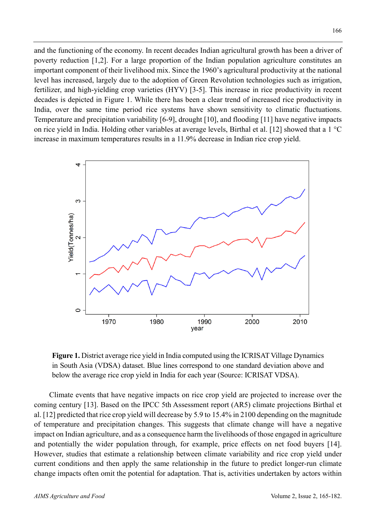and the functioning of the economy. In recent decades Indian agricultural growth has been a driver of poverty reduction [1,2]. For a large proportion of the Indian population agriculture constitutes an important component of their livelihood mix. Since the 1960's agricultural productivity at the national level has increased, largely due to the adoption of Green Revolution technologies such as irrigation, fertilizer, and high-yielding crop varieties (HYV) [3-5]. This increase in rice productivity in recent decades is depicted in Figure 1. While there has been a clear trend of increased rice productivity in India, over the same time period rice systems have shown sensitivity to climatic fluctuations. Temperature and precipitation variability [6-9], drought [10], and flooding [11] have negative impacts on rice yield in India. Holding other variables at average levels, Birthal et al. [12] showed that a 1 °C increase in maximum temperatures results in a 11.9% decrease in Indian rice crop yield.



**Figure 1.** District average rice yield in India computed using the ICRISAT Village Dynamics in South Asia (VDSA) dataset. Blue lines correspond to one standard deviation above and below the average rice crop yield in India for each year (Source: ICRISAT VDSA).

Climate events that have negative impacts on rice crop yield are projected to increase over the coming century [13]. Based on the IPCC 5th Assessment report (AR5) climate projections Birthal et al. [12] predicted that rice crop yield will decrease by 5.9 to 15.4% in 2100 depending on the magnitude of temperature and precipitation changes. This suggests that climate change will have a negative impact on Indian agriculture, and as a consequence harm the livelihoods of those engaged in agriculture and potentially the wider population through, for example, price effects on net food buyers [14]. However, studies that estimate a relationship between climate variability and rice crop yield under current conditions and then apply the same relationship in the future to predict longer-run climate change impacts often omit the potential for adaptation. That is, activities undertaken by actors within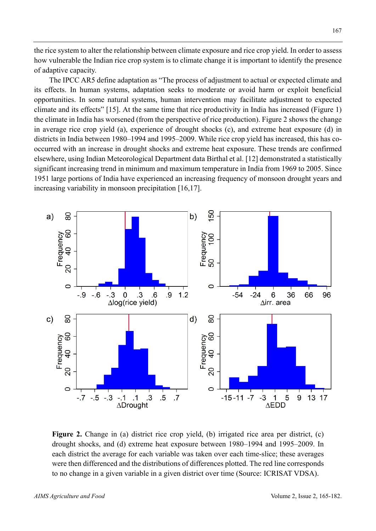the rice system to alter the relationship between climate exposure and rice crop yield. In order to assess how vulnerable the Indian rice crop system is to climate change it is important to identify the presence of adaptive capacity.

The IPCC AR5 define adaptation as "The process of adjustment to actual or expected climate and its effects. In human systems, adaptation seeks to moderate or avoid harm or exploit beneficial opportunities. In some natural systems, human intervention may facilitate adjustment to expected climate and its effects" [15]. At the same time that rice productivity in India has increased (Figure 1) the climate in India has worsened (from the perspective of rice production). Figure 2 shows the change in average rice crop yield (a), experience of drought shocks (c), and extreme heat exposure (d) in districts in India between 1980–1994 and 1995–2009. While rice crop yield has increased, this has cooccurred with an increase in drought shocks and extreme heat exposure. These trends are confirmed elsewhere, using Indian Meteorological Department data Birthal et al. [12] demonstrated a statistically significant increasing trend in minimum and maximum temperature in India from 1969 to 2005. Since 1951 large portions of India have experienced an increasing frequency of monsoon drought years and increasing variability in monsoon precipitation [16,17].



Figure 2. Change in (a) district rice crop yield, (b) irrigated rice area per district, (c) drought shocks, and (d) extreme heat exposure between 1980–1994 and 1995–2009. In each district the average for each variable was taken over each time-slice; these averages were then differenced and the distributions of differences plotted. The red line corresponds to no change in a given variable in a given district over time (Source: ICRISAT VDSA).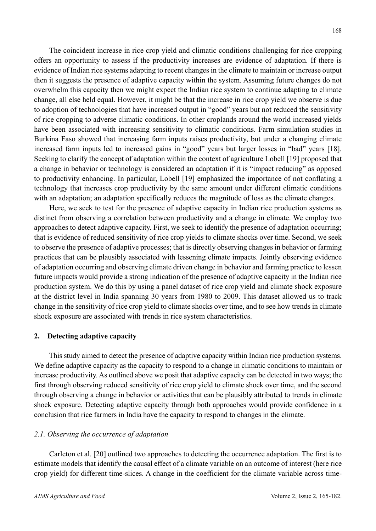The coincident increase in rice crop yield and climatic conditions challenging for rice cropping offers an opportunity to assess if the productivity increases are evidence of adaptation. If there is evidence of Indian rice systems adapting to recent changes in the climate to maintain or increase output then it suggests the presence of adaptive capacity within the system. Assuming future changes do not overwhelm this capacity then we might expect the Indian rice system to continue adapting to climate change, all else held equal. However, it might be that the increase in rice crop yield we observe is due to adoption of technologies that have increased output in "good" years but not reduced the sensitivity of rice cropping to adverse climatic conditions. In other croplands around the world increased yields have been associated with increasing sensitivity to climatic conditions. Farm simulation studies in Burkina Faso showed that increasing farm inputs raises productivity, but under a changing climate increased farm inputs led to increased gains in "good" years but larger losses in "bad" years [18]. Seeking to clarify the concept of adaptation within the context of agriculture Lobell [19] proposed that a change in behavior or technology is considered an adaptation if it is "impact reducing" as opposed to productivity enhancing. In particular, Lobell [19] emphasized the importance of not conflating a technology that increases crop productivity by the same amount under different climatic conditions with an adaptation; an adaptation specifically reduces the magnitude of loss as the climate changes.

Here, we seek to test for the presence of adaptive capacity in Indian rice production systems as distinct from observing a correlation between productivity and a change in climate. We employ two approaches to detect adaptive capacity. First, we seek to identify the presence of adaptation occurring; that is evidence of reduced sensitivity of rice crop yields to climate shocks over time. Second, we seek to observe the presence of adaptive processes; that is directly observing changes in behavior or farming practices that can be plausibly associated with lessening climate impacts. Jointly observing evidence of adaptation occurring and observing climate driven change in behavior and farming practice to lessen future impacts would provide a strong indication of the presence of adaptive capacity in the Indian rice production system. We do this by using a panel dataset of rice crop yield and climate shock exposure at the district level in India spanning 30 years from 1980 to 2009. This dataset allowed us to track change in the sensitivity of rice crop yield to climate shocks over time, and to see how trends in climate shock exposure are associated with trends in rice system characteristics.

## **2. Detecting adaptive capacity**

This study aimed to detect the presence of adaptive capacity within Indian rice production systems. We define adaptive capacity as the capacity to respond to a change in climatic conditions to maintain or increase productivity. As outlined above we posit that adaptive capacity can be detected in two ways; the first through observing reduced sensitivity of rice crop yield to climate shock over time, and the second through observing a change in behavior or activities that can be plausibly attributed to trends in climate shock exposure. Detecting adaptive capacity through both approaches would provide confidence in a conclusion that rice farmers in India have the capacity to respond to changes in the climate.

### *2.1. Observing the occurrence of adaptation*

Carleton et al. [20] outlined two approaches to detecting the occurrence adaptation. The first is to estimate models that identify the causal effect of a climate variable on an outcome of interest (here rice crop yield) for different time-slices. A change in the coefficient for the climate variable across time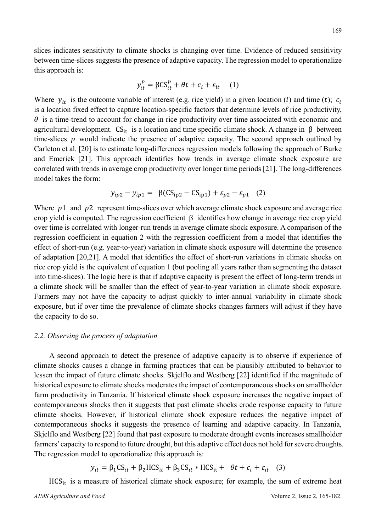slices indicates sensitivity to climate shocks is changing over time. Evidence of reduced sensitivity between time-slices suggests the presence of adaptive capacity. The regression model to operationalize this approach is:

$$
y_{it}^p = \beta C S_{it}^p + \theta t + c_i + \varepsilon_{it} \quad (1)
$$

Where  $y_{it}$  is the outcome variable of interest (e.g. rice yield) in a given location (*i*) and time (*t*);  $c_i$ is a location fixed effect to capture location-specific factors that determine levels of rice productivity,  $\theta$  is a time-trend to account for change in rice productivity over time associated with economic and agricultural development.  $CS_{it}$  is a location and time specific climate shock. A change in  $\beta$  between time-slices  $p$  would indicate the presence of adaptive capacity. The second approach outlined by Carleton et al. [20] is to estimate long-differences regression models following the approach of Burke and Emerick [21]. This approach identifies how trends in average climate shock exposure are correlated with trends in average crop productivity over longer time periods [21]. The long-differences model takes the form:

$$
y_{ip2} - y_{ip1} = \beta (CS_{ip2} - CS_{ip1}) + \varepsilon_{p2} - \varepsilon_{p1} \quad (2)
$$

Where  $p_1$  and  $p_2$  represent time-slices over which average climate shock exposure and average rice crop yield is computed. The regression coefficient β identifies how change in average rice crop yield over time is correlated with longer-run trends in average climate shock exposure. A comparison of the regression coefficient in equation 2 with the regression coefficient from a model that identifies the effect of short-run (e.g. year-to-year) variation in climate shock exposure will determine the presence of adaptation [20,21]. A model that identifies the effect of short-run variations in climate shocks on rice crop yield is the equivalent of equation 1 (but pooling all years rather than segmenting the dataset into time-slices). The logic here is that if adaptive capacity is present the effect of long-term trends in a climate shock will be smaller than the effect of year-to-year variation in climate shock exposure. Farmers may not have the capacity to adjust quickly to inter-annual variability in climate shock exposure, but if over time the prevalence of climate shocks changes farmers will adjust if they have the capacity to do so.

#### *2.2. Observing the process of adaptation*

A second approach to detect the presence of adaptive capacity is to observe if experience of climate shocks causes a change in farming practices that can be plausibly attributed to behavior to lessen the impact of future climate shocks. Skjelflo and Westberg [22] identified if the magnitude of historical exposure to climate shocks moderates the impact of contemporaneous shocks on smallholder farm productivity in Tanzania. If historical climate shock exposure increases the negative impact of contemporaneous shocks then it suggests that past climate shocks erode response capacity to future climate shocks. However, if historical climate shock exposure reduces the negative impact of contemporaneous shocks it suggests the presence of learning and adaptive capacity. In Tanzania, Skjelflo and Westberg [22] found that past exposure to moderate drought events increases smallholder farmers' capacity to respond to future drought, but this adaptive effect does not hold for severe droughts. The regression model to operationalize this approach is:

$$
y_{it} = \beta_1 CS_{it} + \beta_2 HCS_{it} + \beta_3 CS_{it} * HCS_{it} + \theta t + c_i + \varepsilon_{it} \quad (3)
$$

 $HCS_{it}$  is a measure of historical climate shock exposure; for example, the sum of extreme heat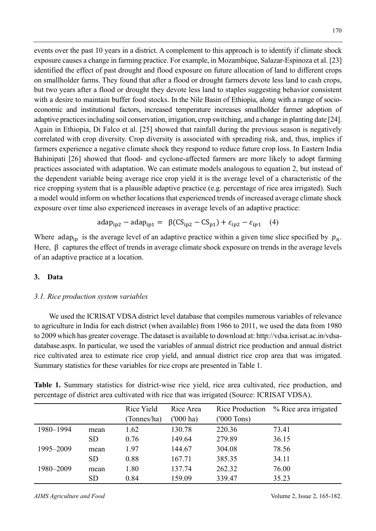events over the past 10 years in a district. A complement to this approach is to identify if climate shock exposure causes a change in farming practice. For example, in Mozambique, Salazar-Espinoza et al. [23] identified the effect of past drought and flood exposure on future allocation of land to different crops on smallholder farms. They found that after a flood or drought farmers devote less land to cash crops, but two years after a flood or drought they devote less land to staples suggesting behavior consistent with a desire to maintain buffer food stocks. In the Nile Basin of Ethiopia, along with a range of socioeconomic and institutional factors, increased temperature increases smallholder farmer adoption of adaptive practices including soil conservation, irrigation, crop switching, and a change in planting date [24]. Again in Ethiopia, Di Falco et al. [25] showed that rainfall during the previous season is negatively correlated with crop diversity. Crop diversity is associated with spreading risk, and, thus, implies if farmers experience a negative climate shock they respond to reduce future crop loss. In Eastern India Bahinipati [26] showed that flood- and cyclone-affected farmers are more likely to adopt farming practices associated with adaptation. We can estimate models analogous to equation 2, but instead of the dependent variable being average rice crop yield it is the average level of a characteristic of the rice cropping system that is a plausible adaptive practice (e.g. percentage of rice area irrigated). Such a model would inform on whether locations that experienced trends of increased average climate shock exposure over time also experienced increases in average levels of an adaptive practice:

$$
adap_{ip2} - adap_{ip1} = \beta (CS_{ip2} - CS_{p1}) + \varepsilon_{ip2} - \varepsilon_{ip1} \quad (4)
$$

Where adap<sub>in</sub> is the average level of an adaptive practice within a given time slice specified by  $p_n$ . Here, β captures the effect of trends in average climate shock exposure on trends in the average levels of an adaptive practice at a location.

### **3. Data**

### *3.1. Rice production system variables*

We used the ICRISAT VDSA district level database that compiles numerous variables of relevance to agriculture in India for each district (when available) from 1966 to 2011, we used the data from 1980 to 2009 which has greater coverage. The dataset is available to download at: http://vdsa.icrisat.ac.in/vdsadatabase.aspx. In particular, we used the variables of annual district rice production and annual district rice cultivated area to estimate rice crop yield, and annual district rice crop area that was irrigated. Summary statistics for these variables for rice crops are presented in Table 1.

|           |           |             |           | $\beta$ . For a set of the same $\alpha$ and $\beta$ and $\beta$ and $\beta$ and $\beta$ and $\beta$ and $\beta$ and $\beta$ and $\beta$ |                       |
|-----------|-----------|-------------|-----------|------------------------------------------------------------------------------------------------------------------------------------------|-----------------------|
|           |           | Rice Yield  | Rice Area | Rice Production                                                                                                                          | % Rice area irrigated |
|           |           | (Tonnes/ha) | ('000 ha) | $(000$ Tons)                                                                                                                             |                       |
| 1980-1994 | mean      | 1.62        | 130.78    | 220.36                                                                                                                                   | 73.41                 |
|           | <b>SD</b> | 0.76        | 149.64    | 279.89                                                                                                                                   | 36.15                 |
| 1995-2009 | mean      | 1.97        | 144.67    | 304.08                                                                                                                                   | 78.56                 |
|           | <b>SD</b> | 0.88        | 167.71    | 385.35                                                                                                                                   | 34.11                 |
| 1980-2009 | mean      | 1.80        | 137.74    | 262.32                                                                                                                                   | 76.00                 |
|           | SD        | 0.84        | 159.09    | 339.47                                                                                                                                   | 35.23                 |

**Table 1.** Summary statistics for district-wise rice yield, rice area cultivated, rice production, and percentage of district area cultivated with rice that was irrigated (Source: ICRISAT VDSA).

*AIMS Agriculture and Food* Volume 2, Issue 2, 165-182.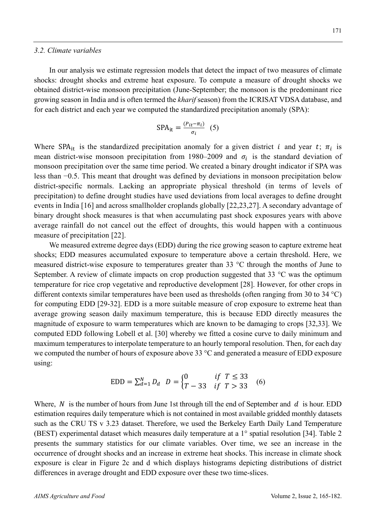#### *3.2. Climate variables*

In our analysis we estimate regression models that detect the impact of two measures of climate shocks: drought shocks and extreme heat exposure. To compute a measure of drought shocks we obtained district-wise monsoon precipitation (June-September; the monsoon is the predominant rice growing season in India and is often termed the *kharif* season) from the ICRISAT VDSA database, and for each district and each year we computed the standardized precipitation anomaly (SPA):

$$
SPA_{it} = \frac{(P_{it} - \pi_i)}{\sigma_i} \quad (5)
$$

Where SPA<sub>it</sub> is the standardized precipitation anomaly for a given district *i* and year *t*;  $\pi_i$  is mean district-wise monsoon precipitation from 1980–2009 and  $\sigma_i$  is the standard deviation of monsoon precipitation over the same time period. We created a binary drought indicator if SPA was less than −0.5. This meant that drought was defined by deviations in monsoon precipitation below district-specific normals. Lacking an appropriate physical threshold (in terms of levels of precipitation) to define drought studies have used deviations from local averages to define drought events in India [16] and across smallholder croplands globally [22,23,27]. A secondary advantage of binary drought shock measures is that when accumulating past shock exposures years with above average rainfall do not cancel out the effect of droughts, this would happen with a continuous measure of precipitation [22].

We measured extreme degree days (EDD) during the rice growing season to capture extreme heat shocks; EDD measures accumulated exposure to temperature above a certain threshold. Here, we measured district-wise exposure to temperatures greater than 33 °C through the months of June to September. A review of climate impacts on crop production suggested that 33 °C was the optimum temperature for rice crop vegetative and reproductive development [28]. However, for other crops in different contexts similar temperatures have been used as thresholds (often ranging from 30 to 34 °C) for computing EDD [29-32]. EDD is a more suitable measure of crop exposure to extreme heat than average growing season daily maximum temperature, this is because EDD directly measures the magnitude of exposure to warm temperatures which are known to be damaging to crops [32,33]. We computed EDD following Lobell et al. [30] whereby we fitted a cosine curve to daily minimum and maximum temperatures to interpolate temperature to an hourly temporal resolution. Then, for each day we computed the number of hours of exposure above 33 °C and generated a measure of EDD exposure using:

EDD = 
$$
\sum_{d=1}^{N} D_d
$$
 D =  $\begin{cases} 0 & \text{if } T \leq 33 \\ T - 33 & \text{if } T > 33 \end{cases}$  (6)

Where, N is the number of hours from June 1st through till the end of September and  $d$  is hour. EDD estimation requires daily temperature which is not contained in most available gridded monthly datasets such as the CRU TS v 3.23 dataset. Therefore, we used the Berkeley Earth Daily Land Temperature (BEST) experimental dataset which measures daily temperature at a 1° spatial resolution [34]. Table 2 presents the summary statistics for our climate variables. Over time, we see an increase in the occurrence of drought shocks and an increase in extreme heat shocks. This increase in climate shock exposure is clear in Figure 2c and d which displays histograms depicting distributions of district differences in average drought and EDD exposure over these two time-slices.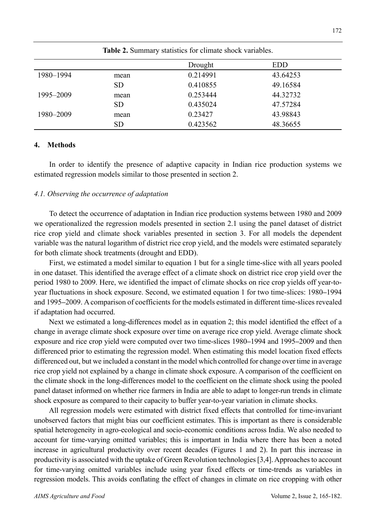|           |           | Drought  | <b>EDD</b> |  |
|-----------|-----------|----------|------------|--|
| 1980-1994 | mean      | 0.214991 | 43.64253   |  |
|           | <b>SD</b> | 0.410855 | 49.16584   |  |
| 1995-2009 | mean      | 0.253444 | 44.32732   |  |
|           | <b>SD</b> | 0.435024 | 47.57284   |  |
| 1980-2009 | mean      | 0.23427  | 43.98843   |  |
|           | <b>SD</b> | 0.423562 | 48.36655   |  |

**Table 2.** Summary statistics for climate shock variables.

#### **4. Methods**

In order to identify the presence of adaptive capacity in Indian rice production systems we estimated regression models similar to those presented in section 2.

#### *4.1. Observing the occurrence of adaptation*

To detect the occurrence of adaptation in Indian rice production systems between 1980 and 2009 we operationalized the regression models presented in section 2.1 using the panel dataset of district rice crop yield and climate shock variables presented in section 3. For all models the dependent variable was the natural logarithm of district rice crop yield, and the models were estimated separately for both climate shock treatments (drought and EDD).

First, we estimated a model similar to equation 1 but for a single time-slice with all years pooled in one dataset. This identified the average effect of a climate shock on district rice crop yield over the period 1980 to 2009. Here, we identified the impact of climate shocks on rice crop yields off year-toyear fluctuations in shock exposure. Second, we estimated equation 1 for two time-slices: 1980**–**1994 and 1995**–**2009. A comparison of coefficients for the models estimated in different time-slices revealed if adaptation had occurred.

Next we estimated a long-differences model as in equation 2; this model identified the effect of a change in average climate shock exposure over time on average rice crop yield. Average climate shock exposure and rice crop yield were computed over two time-slices 1980**–**1994 and 1995**–**2009 and then differenced prior to estimating the regression model. When estimating this model location fixed effects differenced out, but we included a constant in the model which controlled for change over time in average rice crop yield not explained by a change in climate shock exposure. A comparison of the coefficient on the climate shock in the long-differences model to the coefficient on the climate shock using the pooled panel dataset informed on whether rice farmers in India are able to adapt to longer-run trends in climate shock exposure as compared to their capacity to buffer year-to-year variation in climate shocks.

All regression models were estimated with district fixed effects that controlled for time-invariant unobserved factors that might bias our coefficient estimates. This is important as there is considerable spatial heterogeneity in agro-ecological and socio-economic conditions across India. We also needed to account for time-varying omitted variables; this is important in India where there has been a noted increase in agricultural productivity over recent decades (Figures 1 and 2). In part this increase in productivity is associated with the uptake of Green Revolution technologies [3,4]. Approaches to account for time-varying omitted variables include using year fixed effects or time-trends as variables in regression models. This avoids conflating the effect of changes in climate on rice cropping with other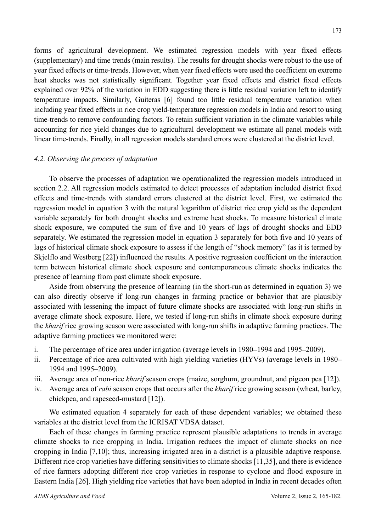forms of agricultural development. We estimated regression models with year fixed effects (supplementary) and time trends (main results). The results for drought shocks were robust to the use of year fixed effects or time-trends. However, when year fixed effects were used the coefficient on extreme heat shocks was not statistically significant. Together year fixed effects and district fixed effects explained over 92% of the variation in EDD suggesting there is little residual variation left to identify temperature impacts. Similarly, Guiteras [6] found too little residual temperature variation when including year fixed effects in rice crop yield-temperature regression models in India and resort to using time-trends to remove confounding factors. To retain sufficient variation in the climate variables while accounting for rice yield changes due to agricultural development we estimate all panel models with linear time-trends. Finally, in all regression models standard errors were clustered at the district level.

### *4.2. Observing the process of adaptation*

To observe the processes of adaptation we operationalized the regression models introduced in section 2.2. All regression models estimated to detect processes of adaptation included district fixed effects and time-trends with standard errors clustered at the district level. First, we estimated the regression model in equation 3 with the natural logarithm of district rice crop yield as the dependent variable separately for both drought shocks and extreme heat shocks. To measure historical climate shock exposure, we computed the sum of five and 10 years of lags of drought shocks and EDD separately. We estimated the regression model in equation 3 separately for both five and 10 years of lags of historical climate shock exposure to assess if the length of "shock memory" (as it is termed by Skjelflo and Westberg [22]) influenced the results. A positive regression coefficient on the interaction term between historical climate shock exposure and contemporaneous climate shocks indicates the presence of learning from past climate shock exposure.

Aside from observing the presence of learning (in the short-run as determined in equation 3) we can also directly observe if long-run changes in farming practice or behavior that are plausibly associated with lessening the impact of future climate shocks are associated with long-run shifts in average climate shock exposure. Here, we tested if long-run shifts in climate shock exposure during the *kharif* rice growing season were associated with long-run shifts in adaptive farming practices. The adaptive farming practices we monitored were:

- i. The percentage of rice area under irrigation (average levels in 1980**–**1994 and 1995**–**2009).
- ii. Percentage of rice area cultivated with high yielding varieties (HYVs) (average levels in 1980**–** 1994 and 1995**–**2009).
- iii. Average area of non-rice *kharif* season crops (maize, sorghum, groundnut, and pigeon pea [12]).
- iv. Average area of *rabi* season crops that occurs after the *kharif* rice growing season (wheat, barley, chickpea, and rapeseed-mustard [12]).

We estimated equation 4 separately for each of these dependent variables; we obtained these variables at the district level from the ICRISAT VDSA dataset.

Each of these changes in farming practice represent plausible adaptations to trends in average climate shocks to rice cropping in India. Irrigation reduces the impact of climate shocks on rice cropping in India [7,10]; thus, increasing irrigated area in a district is a plausible adaptive response. Different rice crop varieties have differing sensitivities to climate shocks [11,35], and there is evidence of rice farmers adopting different rice crop varieties in response to cyclone and flood exposure in Eastern India [26]. High yielding rice varieties that have been adopted in India in recent decades often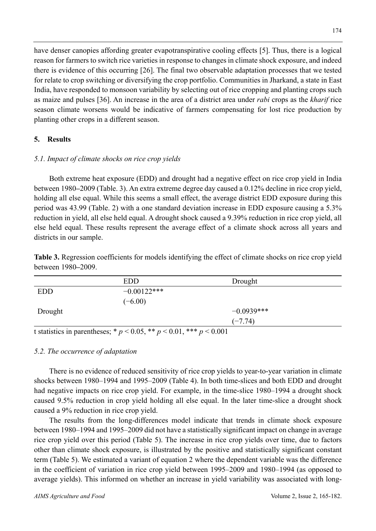have denser canopies affording greater evapotranspirative cooling effects [5]. Thus, there is a logical reason for farmers to switch rice varieties in response to changes in climate shock exposure, and indeed there is evidence of this occurring [26]. The final two observable adaptation processes that we tested for relate to crop switching or diversifying the crop portfolio. Communities in Jharkand, a state in East India, have responded to monsoon variability by selecting out of rice cropping and planting crops such as maize and pulses [36]. An increase in the area of a district area under *rabi* crops as the *kharif* rice season climate worsens would be indicative of farmers compensating for lost rice production by planting other crops in a different season.

### **5. Results**

#### *5.1. Impact of climate shocks on rice crop yields*

Both extreme heat exposure (EDD) and drought had a negative effect on rice crop yield in India between 1980**–**2009 (Table. 3). An extra extreme degree day caused a 0.12% decline in rice crop yield, holding all else equal. While this seems a small effect, the average district EDD exposure during this period was 43.99 (Table. 2) with a one standard deviation increase in EDD exposure causing a 5.3% reduction in yield, all else held equal. A drought shock caused a 9.39% reduction in rice crop yield, all else held equal. These results represent the average effect of a climate shock across all years and districts in our sample.

**Table 3.** Regression coefficients for models identifying the effect of climate shocks on rice crop yield between 1980**–**2009.

|            | <b>EDD</b>                                                                                              | Drought      |  |
|------------|---------------------------------------------------------------------------------------------------------|--------------|--|
| <b>EDD</b> | $-0.00122***$                                                                                           |              |  |
|            | $(-6.00)$                                                                                               |              |  |
| Drought    |                                                                                                         | $-0.0939***$ |  |
|            |                                                                                                         | $(-7.74)$    |  |
| .          | $\mathcal{A}$ and $\mathcal{A}$ and $\mathcal{A}$ and $\mathcal{A}$ and $\mathcal{A}$ and $\mathcal{A}$ |              |  |

t statistics in parentheses;  $p < 0.05$ ,  $\ast p < 0.01$ ,  $\ast \ast p < 0.001$ 

#### *5.2. The occurrence of adaptation*

There is no evidence of reduced sensitivity of rice crop yields to year-to-year variation in climate shocks between 1980–1994 and 1995–2009 (Table 4). In both time-slices and both EDD and drought had negative impacts on rice crop yield. For example, in the time-slice 1980–1994 a drought shock caused 9.5% reduction in crop yield holding all else equal. In the later time-slice a drought shock caused a 9% reduction in rice crop yield.

The results from the long-differences model indicate that trends in climate shock exposure between 1980–1994 and 1995–2009 did not have a statistically significant impact on change in average rice crop yield over this period (Table 5). The increase in rice crop yields over time, due to factors other than climate shock exposure, is illustrated by the positive and statistically significant constant term (Table 5). We estimated a variant of equation 2 where the dependent variable was the difference in the coefficient of variation in rice crop yield between 1995–2009 and 1980–1994 (as opposed to average yields). This informed on whether an increase in yield variability was associated with long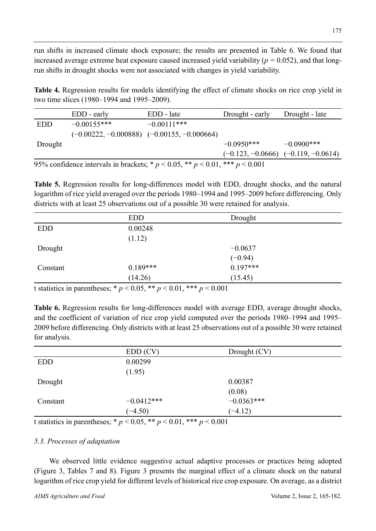run shifts in increased climate shock exposure; the results are presented in Table 6. We found that increased average extreme heat exposure caused increased yield variability (*p =* 0.052), and that longrun shifts in drought shocks were not associated with changes in yield variability.

**Table 4.** Regression results for models identifying the effect of climate shocks on rice crop yield in two time slices (1980–1994 and 1995–2009).

|                                                                                      | EDD - early   | EDD - late                                      | Drought - early | Drought - late                          |
|--------------------------------------------------------------------------------------|---------------|-------------------------------------------------|-----------------|-----------------------------------------|
| <b>EDD</b>                                                                           | $-0.00155***$ | $-0.00111***$                                   |                 |                                         |
|                                                                                      |               | $(-0.00222, -0.000888)$ $(-0.00155, -0.000664)$ |                 |                                         |
| Drought                                                                              |               |                                                 | $-0.0950***$    | $-0.0900$ ***                           |
|                                                                                      |               |                                                 |                 | $(-0.123, -0.0666)$ $(-0.119, -0.0614)$ |
| 95% confidence intervals in brackets; * $p < 0.05$ , ** $p < 0.01$ , *** $p < 0.001$ |               |                                                 |                 |                                         |

**Table 5.** Regression results for long-differences model with EDD, drought shocks, and the natural logarithm of rice yield averaged over the periods 1980–1994 and 1995–2009 before differencing. Only districts with at least 25 observations out of a possible 30 were retained for analysis.

| <b>EDD</b> | Drought   |            |
|------------|-----------|------------|
| 0.00248    |           |            |
| (1.12)     |           |            |
|            | $-0.0637$ |            |
|            | $(-0.94)$ |            |
| $0.189***$ |           |            |
| (14.26)    | (15.45)   |            |
|            |           | $0.197***$ |

t statistics in parentheses;  $* p < 0.05$ ,  $** p < 0.01$ ,  $*** p < 0.001$ 

**Table 6.** Regression results for long-differences model with average EDD, average drought shocks, and the coefficient of variation of rice crop yield computed over the periods 1980–1994 and 1995– 2009 before differencing. Only districts with at least 25 observations out of a possible 30 were retained for analysis.

|            | EDD(CV)      | Drought (CV) |
|------------|--------------|--------------|
| <b>EDD</b> | 0.00299      |              |
|            | (1.95)       |              |
| Drought    |              | 0.00387      |
|            |              | (0.08)       |
| Constant   | $-0.0412***$ | $-0.0363***$ |
|            | $(-4.50)$    | $(-4.12)$    |

t statistics in parentheses;  $* p < 0.05$ ,  $** p < 0.01$ ,  $*** p < 0.001$ 

## *5.3. Processes of adaptation*

We observed little evidence suggestive actual adaptive processes or practices being adopted (Figure 3, Tables 7 and 8). Figure 3 presents the marginal effect of a climate shock on the natural logarithm of rice crop yield for different levels of historical rice crop exposure. On average, as a district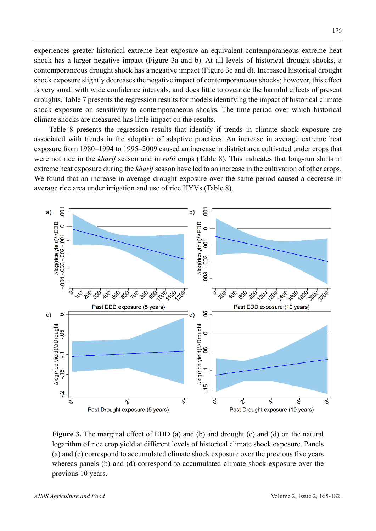experiences greater historical extreme heat exposure an equivalent contemporaneous extreme heat shock has a larger negative impact (Figure 3a and b). At all levels of historical drought shocks, a contemporaneous drought shock has a negative impact (Figure 3c and d). Increased historical drought shock exposure slightly decreases the negative impact of contemporaneous shocks; however, this effect is very small with wide confidence intervals, and does little to override the harmful effects of present droughts. Table 7 presents the regression results for models identifying the impact of historical climate shock exposure on sensitivity to contemporaneous shocks. The time-period over which historical climate shocks are measured has little impact on the results.

Table 8 presents the regression results that identify if trends in climate shock exposure are associated with trends in the adoption of adaptive practices. An increase in average extreme heat exposure from 1980–1994 to 1995–2009 caused an increase in district area cultivated under crops that were not rice in the *kharif* season and in *rabi* crops (Table 8). This indicates that long-run shifts in extreme heat exposure during the *kharif* season have led to an increase in the cultivation of other crops. We found that an increase in average drought exposure over the same period caused a decrease in average rice area under irrigation and use of rice HYVs (Table 8).



**Figure 3.** The marginal effect of EDD (a) and (b) and drought (c) and (d) on the natural logarithm of rice crop yield at different levels of historical climate shock exposure. Panels (a) and (c) correspond to accumulated climate shock exposure over the previous five years whereas panels (b) and (d) correspond to accumulated climate shock exposure over the previous 10 years.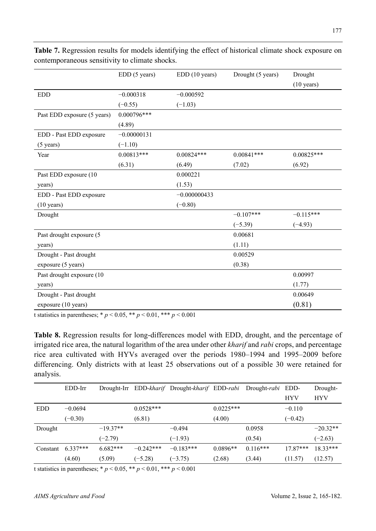|                             | EDD (5 years) | EDD (10 years) | Drought (5 years) | Drought              |
|-----------------------------|---------------|----------------|-------------------|----------------------|
|                             |               |                |                   | $(10 \text{ years})$ |
| <b>EDD</b>                  | $-0.000318$   | $-0.000592$    |                   |                      |
|                             | $(-0.55)$     | $(-1.03)$      |                   |                      |
| Past EDD exposure (5 years) | $0.000796***$ |                |                   |                      |
|                             | (4.89)        |                |                   |                      |
| EDD - Past EDD exposure     | $-0.00000131$ |                |                   |                      |
| $(5 \text{ years})$         | $(-1.10)$     |                |                   |                      |
| Year                        | $0.00813***$  | $0.00824***$   | $0.00841***$      | $0.00825***$         |
|                             | (6.31)        | (6.49)         | (7.02)            | (6.92)               |
| Past EDD exposure (10       |               | 0.000221       |                   |                      |
| years)                      |               | (1.53)         |                   |                      |
| EDD - Past EDD exposure     |               | $-0.000000433$ |                   |                      |
| $(10 \text{ years})$        |               | $(-0.80)$      |                   |                      |
| Drought                     |               |                | $-0.107***$       | $-0.115***$          |
|                             |               |                | $(-5.39)$         | $(-4.93)$            |
| Past drought exposure (5    |               |                | 0.00681           |                      |
| years)                      |               |                | (1.11)            |                      |
| Drought - Past drought      |               |                | 0.00529           |                      |
| exposure (5 years)          |               |                | (0.38)            |                      |
| Past drought exposure (10   |               |                |                   | 0.00997              |
| years)                      |               |                |                   | (1.77)               |
| Drought - Past drought      |               |                |                   | 0.00649              |
| exposure (10 years)         |               |                |                   | (0.81)               |

**Table 7.** Regression results for models identifying the effect of historical climate shock exposure on contemporaneous sensitivity to climate shocks.

t statistics in parentheses; \* *p* < 0.05, \*\* *p* < 0.01, \*\*\* *p* < 0.001

**Table 8.** Regression results for long-differences model with EDD, drought, and the percentage of irrigated rice area, the natural logarithm of the area under other *kharif* and *rabi* crops, and percentage rice area cultivated with HYVs averaged over the periods 1980–1994 and 1995–2009 before differencing. Only districts with at least 25 observations out of a possible 30 were retained for analysis.

|            | EDD-Irr    |            |             | Drought-Irr EDD-kharif Drought-kharif EDD-rabi |             | Drought- <i>rabi</i> | EDD-       | Drought-   |
|------------|------------|------------|-------------|------------------------------------------------|-------------|----------------------|------------|------------|
|            |            |            |             |                                                |             |                      | <b>HYV</b> | <b>HYV</b> |
| <b>EDD</b> | $-0.0694$  |            | $0.0528***$ |                                                | $0.0225***$ |                      | $-0.110$   |            |
|            | $(-0.30)$  |            | (6.81)      |                                                | (4.00)      |                      | $(-0.42)$  |            |
| Drought    |            | $-19.37**$ |             | $-0.494$                                       |             | 0.0958               |            | $-20.32**$ |
|            |            | $(-2.79)$  |             | $(-1.93)$                                      |             | (0.54)               |            | $(-2.63)$  |
| Constant   | $6.337***$ | $6.682***$ | $-0.242***$ | $-0.183***$                                    | $0.0896**$  | $0.116***$           | $17.87***$ | $18.33***$ |
|            | (4.60)     | (5.09)     | $(-5.28)$   | $(-3.75)$                                      | (2.68)      | (3.44)               | (11.57)    | (12.57)    |

t statistics in parentheses; \*  $p < 0.05$ , \*\*  $p < 0.01$ , \*\*\*  $p < 0.001$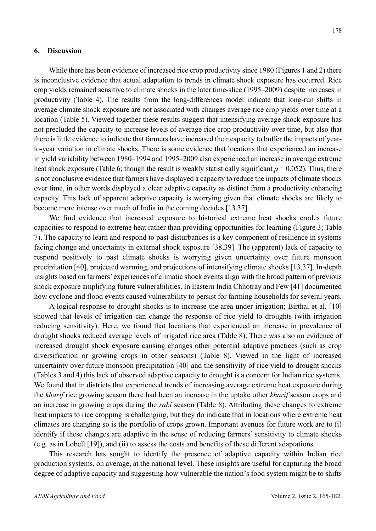#### **6. Discussion**

While there has been evidence of increased rice crop productivity since 1980 (Figures 1 and 2) there is inconclusive evidence that actual adaptation to trends in climate shock exposure has occurred. Rice crop yields remained sensitive to climate shocks in the later time-slice (1995–2009) despite increases in productivity (Table 4). The results from the long-differences model indicate that long-run shifts in average climate shock exposure are not associated with changes average rice crop yields over time at a location (Table 5). Viewed together these results suggest that intensifying average shock exposure has not precluded the capacity to increase levels of average rice crop productivity over time, but also that there is little evidence to indicate that farmers have increased their capacity to buffer the impacts of yearto-year variation in climate shocks. There is some evidence that locations that experienced an increase in yield variability between 1980–1994 and 1995–2009 also experienced an increase in average extreme heat shock exposure (Table 6; though the result is weakly statistically significant  $p = 0.052$ ). Thus, there is not conclusive evidence that farmers have displayed a capacity to reduce the impacts of climate shocks over time, in other words displayed a clear adaptive capacity as distinct from a productivity enhancing capacity. This lack of apparent adaptive capacity is worrying given that climate shocks are likely to become more intense over much of India in the coming decades [13,37].

We find evidence that increased exposure to historical extreme heat shocks erodes future capacities to respond to extreme heat rather than providing opportunities for learning (Figure 3; Table 7). The capacity to learn and respond to past disturbances is a key component of resilience in systems facing change and uncertainty in external shock exposure [38,39]. The (apparent) lack of capacity to respond positively to past climate shocks is worrying given uncertainty over future monsoon precipitation [40], projected warming, and projections of intensifying climate shocks [13,37]. In-depth insights based on farmers' experiences of climatic shock events align with the broad pattern of previous shock exposure amplifying future vulnerabilities. In Eastern India Chhotray and Few [41] documented how cyclone and flood events caused vulnerability to persist for farming households for several years.

A logical response to drought shocks is to increase the area under irrigation; Birthal et al. [10] showed that levels of irrigation can change the response of rice yield to droughts (with irrigation reducing sensitivity). Here, we found that locations that experienced an increase in prevalence of drought shocks reduced average levels of irrigated rice area (Table 8). There was also no evidence of increased drought shock exposure causing changes other potential adaptive practices (such as crop diversification or growing crops in other seasons) (Table 8). Viewed in the light of increased uncertainty over future monsoon precipitation [40] and the sensitivity of rice yield to drought shocks (Tables 3 and 4) this lack of observed adaptive capacity to drought is a concern for Indian rice systems. We found that in districts that experienced trends of increasing average extreme heat exposure during the *kharif* rice growing season there had been an increase in the uptake other *kharif* season crops and an increase in growing crops during the *rabi* season (Table 8). Attributing these changes to extreme heat impacts to rice cropping is challenging, but they do indicate that in locations where extreme heat climates are changing so is the portfolio of crops grown. Important avenues for future work are to (i) identify if these changes are adaptive in the sense of reducing farmers' sensitivity to climate shocks (e.g. as in Lobell [19]), and (ii) to assess the costs and benefits of these different adaptations.

This research has sought to identify the presence of adaptive capacity within Indian rice production systems, on average, at the national level. These insights are useful for capturing the broad degree of adaptive capacity and suggesting how vulnerable the nation's food system might be to shifts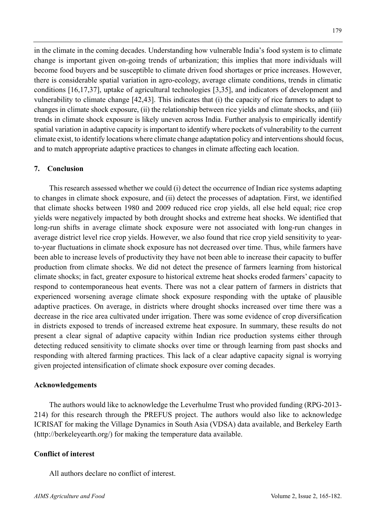in the climate in the coming decades. Understanding how vulnerable India's food system is to climate change is important given on-going trends of urbanization; this implies that more individuals will become food buyers and be susceptible to climate driven food shortages or price increases. However, there is considerable spatial variation in agro-ecology, average climate conditions, trends in climatic conditions [16,17,37], uptake of agricultural technologies [3,35], and indicators of development and vulnerability to climate change [42,43]. This indicates that (i) the capacity of rice farmers to adapt to changes in climate shock exposure, (ii) the relationship between rice yields and climate shocks, and (iii) trends in climate shock exposure is likely uneven across India. Further analysis to empirically identify spatial variation in adaptive capacity is important to identify where pockets of vulnerability to the current climate exist, to identify locations where climate change adaptation policy and interventions should focus, and to match appropriate adaptive practices to changes in climate affecting each location.

## **7. Conclusion**

This research assessed whether we could (i) detect the occurrence of Indian rice systems adapting to changes in climate shock exposure, and (ii) detect the processes of adaptation. First, we identified that climate shocks between 1980 and 2009 reduced rice crop yields, all else held equal; rice crop yields were negatively impacted by both drought shocks and extreme heat shocks. We identified that long-run shifts in average climate shock exposure were not associated with long-run changes in average district level rice crop yields. However, we also found that rice crop yield sensitivity to yearto-year fluctuations in climate shock exposure has not decreased over time. Thus, while farmers have been able to increase levels of productivity they have not been able to increase their capacity to buffer production from climate shocks. We did not detect the presence of farmers learning from historical climate shocks; in fact, greater exposure to historical extreme heat shocks eroded farmers' capacity to respond to contemporaneous heat events. There was not a clear pattern of farmers in districts that experienced worsening average climate shock exposure responding with the uptake of plausible adaptive practices. On average, in districts where drought shocks increased over time there was a decrease in the rice area cultivated under irrigation. There was some evidence of crop diversification in districts exposed to trends of increased extreme heat exposure. In summary, these results do not present a clear signal of adaptive capacity within Indian rice production systems either through detecting reduced sensitivity to climate shocks over time or through learning from past shocks and responding with altered farming practices. This lack of a clear adaptive capacity signal is worrying given projected intensification of climate shock exposure over coming decades.

### **Acknowledgements**

The authors would like to acknowledge the Leverhulme Trust who provided funding (RPG-2013- 214) for this research through the PREFUS project. The authors would also like to acknowledge ICRISAT for making the Village Dynamics in South Asia (VDSA) data available, and Berkeley Earth (http://berkeleyearth.org/) for making the temperature data available.

# **Conflict of interest**

All authors declare no conflict of interest.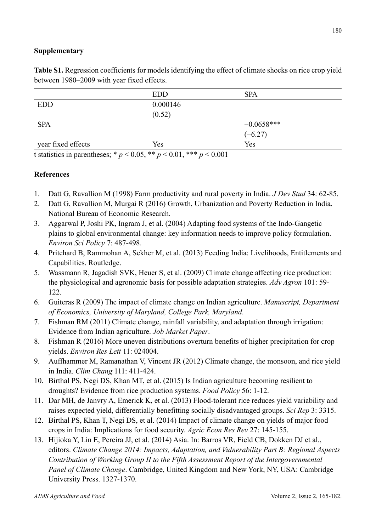# **Supplementary**

| Table S1. Regression coefficients for models identifying the effect of climate shocks on rice crop yield |  |
|----------------------------------------------------------------------------------------------------------|--|
| between 1980–2009 with year fixed effects.                                                               |  |

|                    | <b>EDD</b> | <b>SPA</b>   |  |  |
|--------------------|------------|--------------|--|--|
| <b>EDD</b>         | 0.000146   |              |  |  |
|                    | (0.52)     |              |  |  |
| <b>SPA</b>         |            | $-0.0658***$ |  |  |
|                    |            | $(-6.27)$    |  |  |
| year fixed effects | Yes        | Yes          |  |  |
|                    |            |              |  |  |

t statistics in parentheses; \* *p* < 0.05, \*\* *p* < 0.01, \*\*\* *p* < 0.001

# **References**

- 1. Datt G, Ravallion M (1998) Farm productivity and rural poverty in India. *J Dev Stud* 34: 62-85.
- 2. Datt G, Ravallion M, Murgai R (2016) Growth, Urbanization and Poverty Reduction in India. National Bureau of Economic Research.
- 3. Aggarwal P, Joshi PK, Ingram J, et al. (2004) Adapting food systems of the Indo-Gangetic plains to global environmental change: key information needs to improve policy formulation. *Environ Sci Policy* 7: 487-498.
- 4. Pritchard B, Rammohan A, Sekher M, et al. (2013) Feeding India: Livelihoods, Entitlements and Capabilities. Routledge.
- 5. Wassmann R, Jagadish SVK, Heuer S, et al. (2009) Climate change affecting rice production: the physiological and agronomic basis for possible adaptation strategies. *Adv Agron* 101: 59- 122.
- 6. Guiteras R (2009) The impact of climate change on Indian agriculture. *Manuscript, Department of Economics, University of Maryland, College Park, Maryland*.
- 7. Fishman RM (2011) Climate change, rainfall variability, and adaptation through irrigation: Evidence from Indian agriculture. *Job Market Paper*.
- 8. Fishman R (2016) More uneven distributions overturn benefits of higher precipitation for crop yields. *Environ Res Lett* 11: 024004.
- 9. Auffhammer M, Ramanathan V, Vincent JR (2012) Climate change, the monsoon, and rice yield in India. *Clim Chang* 111: 411-424.
- 10. Birthal PS, Negi DS, Khan MT, et al. (2015) Is Indian agriculture becoming resilient to droughts? Evidence from rice production systems. *Food Policy* 56: 1-12.
- 11. Dar MH, de Janvry A, Emerick K, et al. (2013) Flood-tolerant rice reduces yield variability and raises expected yield, differentially benefitting socially disadvantaged groups. *Sci Rep* 3: 3315.
- 12. Birthal PS, Khan T, Negi DS, et al. (2014) Impact of climate change on yields of major food crops in India: Implications for food security. *Agric Econ Res Rev* 27: 145-155.
- 13. Hijioka Y, Lin E, Pereira JJ, et al. (2014) Asia. In: Barros VR, Field CB, Dokken DJ et al., editors. *Climate Change 2014: Impacts, Adaptation, and Vulnerability Part B: Regional Aspects Contribution of Working Group II to the Fifth Assessment Report of the Intergovernmental Panel of Climate Change*. Cambridge, United Kingdom and New York, NY, USA: Cambridge University Press. 1327-1370.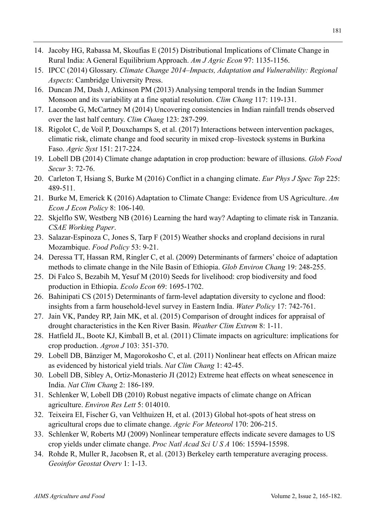- 14. Jacoby HG, Rabassa M, Skoufias E (2015) Distributional Implications of Climate Change in Rural India: A General Equilibrium Approach. *Am J Agric Econ* 97: 1135-1156.
- 15. IPCC (2014) Glossary. *Climate Change 2014–Impacts, Adaptation and Vulnerability: Regional Aspects*: Cambridge University Press.
- 16. Duncan JM, Dash J, Atkinson PM (2013) Analysing temporal trends in the Indian Summer Monsoon and its variability at a fine spatial resolution. *Clim Chang* 117: 119-131.
- 17. Lacombe G, McCartney M (2014) Uncovering consistencies in Indian rainfall trends observed over the last half century. *Clim Chang* 123: 287-299.
- 18. Rigolot C, de Voil P, Douxchamps S, et al. (2017) Interactions between intervention packages, climatic risk, climate change and food security in mixed crop–livestock systems in Burkina Faso. *Agric Syst* 151: 217-224.
- 19. Lobell DB (2014) Climate change adaptation in crop production: beware of illusions. *Glob Food Secur* 3: 72-76.
- 20. Carleton T, Hsiang S, Burke M (2016) Conflict in a changing climate. *Eur Phys J Spec Top* 225: 489-511.
- 21. Burke M, Emerick K (2016) Adaptation to Climate Change: Evidence from US Agriculture. *Am Econ J Econ Policy* 8: 106-140.
- 22. Skjelflo SW, Westberg NB (2016) Learning the hard way? Adapting to climate risk in Tanzania. *CSAE Working Paper*.
- 23. Salazar-Espinoza C, Jones S, Tarp F (2015) Weather shocks and cropland decisions in rural Mozambique. *Food Policy* 53: 9-21.
- 24. Deressa TT, Hassan RM, Ringler C, et al. (2009) Determinants of farmers' choice of adaptation methods to climate change in the Nile Basin of Ethiopia. *Glob Environ Chang* 19: 248-255.
- 25. Di Falco S, Bezabih M, Yesuf M (2010) Seeds for livelihood: crop biodiversity and food production in Ethiopia. *Ecolo Econ* 69: 1695-1702.
- 26. Bahinipati CS (2015) Determinants of farm-level adaptation diversity to cyclone and flood: insights from a farm household-level survey in Eastern India. *Water Policy* 17: 742-761.
- 27. Jain VK, Pandey RP, Jain MK, et al. (2015) Comparison of drought indices for appraisal of drought characteristics in the Ken River Basin. *Weather Clim Extrem* 8: 1-11.
- 28. Hatfield JL, Boote KJ, Kimball B, et al. (2011) Climate impacts on agriculture: implications for crop production. *Agron J* 103: 351-370.
- 29. Lobell DB, Bänziger M, Magorokosho C, et al. (2011) Nonlinear heat effects on African maize as evidenced by historical yield trials. *Nat Clim Chang* 1: 42-45.
- 30. Lobell DB, Sibley A, Ortiz-Monasterio JI (2012) Extreme heat effects on wheat senescence in India. *Nat Clim Chang* 2: 186-189.
- 31. Schlenker W, Lobell DB (2010) Robust negative impacts of climate change on African agriculture. *Environ Res Lett* 5: 014010.
- 32. Teixeira EI, Fischer G, van Velthuizen H, et al. (2013) Global hot-spots of heat stress on agricultural crops due to climate change. *Agric For Meteorol* 170: 206-215.
- 33. Schlenker W, Roberts MJ (2009) Nonlinear temperature effects indicate severe damages to US crop yields under climate change. *Proc Natl Acad Sci U S A* 106: 15594-15598.
- 34. Rohde R, Muller R, Jacobsen R, et al. (2013) Berkeley earth temperature averaging process. *Geoinfor Geostat Overv* 1: 1-13.